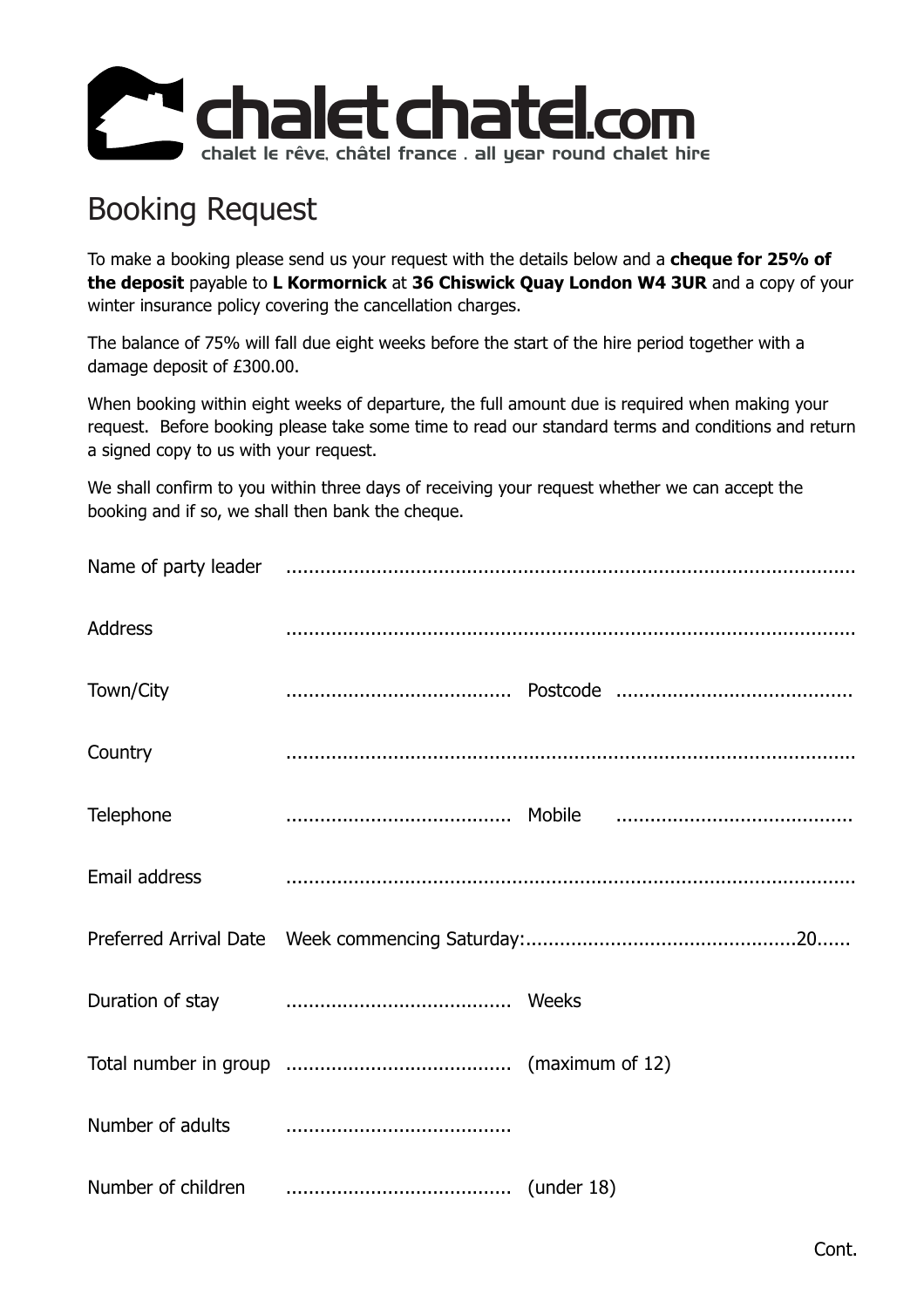

## Booking Request

To make a booking please send us your request with the details below and a **cheque for 25% of the deposit** payable to L Kormornick at 36 Chiswick Quay London W4 3UR and a copy of your winter insurance policy covering the cancellation charges.

The balance of 75% will fall due eight weeks before the start of the hire period together with a damage deposit of £300.00.

When booking within eight weeks of departure, the full amount due is required when making your request. Before booking please take some time to read our standard terms and conditions and return a signed copy to us with your request.

We shall confirm to you within three days of receiving your request whether we can accept the booking and if so, we shall then bank the cheque.

| Address       |                                                                                                                                                                                                      |  |
|---------------|------------------------------------------------------------------------------------------------------------------------------------------------------------------------------------------------------|--|
| Town/City     |                                                                                                                                                                                                      |  |
| Country       |                                                                                                                                                                                                      |  |
| Telephone     |                                                                                                                                                                                                      |  |
| Email address |                                                                                                                                                                                                      |  |
|               |                                                                                                                                                                                                      |  |
|               |                                                                                                                                                                                                      |  |
|               |                                                                                                                                                                                                      |  |
|               | Number of adults <b>contained contained contained contained contained contained contained  contained  contained  contained  contained  contained  contained  contained  contained  contained  co</b> |  |
|               |                                                                                                                                                                                                      |  |